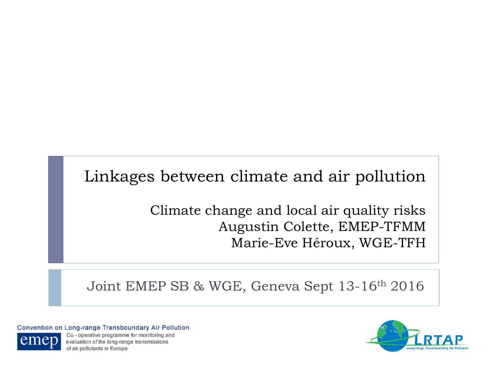### Linkages between climate and air pollution

Climate change and local air quality risks Augustin Colette, EMEP-TFMM Marie-Eve Héroux, WGE-TFH

Joint EMEP SB & WGE, Geneva Sept 13-16th 2016

Convention on Long-range Transboundary Air Pollution



Co-operative programme for monitoring and evaluation of the long-range transmissions of air pollutants in Europe

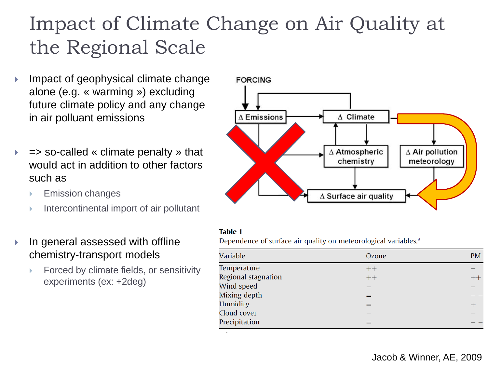### Impact of Climate Change on Air Quality at the Regional Scale

- Impact of geophysical climate change alone (e.g. « warming ») excluding future climate policy and any change in air polluant emissions
- $\Rightarrow$  so-called « climate penalty » that would act in addition to other factors such as
	- Emission changes
	- $\blacktriangleright$  Intercontinental import of air pollutant
- ▶ In general assessed with offline chemistry-transport models
	- Forced by climate fields, or sensitivity experiments (ex: +2deg)



#### **Table 1**

Dependence of surface air quality on meteorological variables.<sup>a</sup>

| Variable            | Ozone | <b>PM</b> |
|---------------------|-------|-----------|
| Temperature         | $++$  |           |
| Regional stagnation | $++$  | $^{++}$   |
| Wind speed          |       |           |
| Mixing depth        | $=$   |           |
| Humidity            | $=$   |           |
| Cloud cover         |       |           |
| Precipitation       |       |           |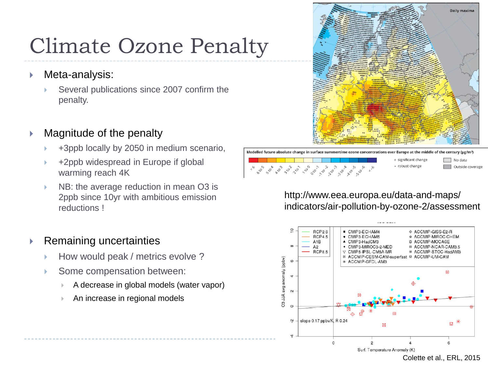## Climate Ozone Penalty

- ▶ Meta-analysis:
	- Several publications since 2007 confirm the penalty.

#### Magnitude of the penalty

- +3ppb locally by 2050 in medium scenario,
- +2ppb widespread in Europe if global warming reach 4K
- NB: the average reduction in mean O3 is 2ppb since 10yr with ambitious emission reductions !

#### Remaining uncertainties

- How would peak / metrics evolve ?
- Some compensation between:
	- A decrease in global models (water vapor)
	- An increase in regional models





#### http://www.eea.europa.eu/data-and-maps/ indicators/air-pollution-by-ozone-2/assessment

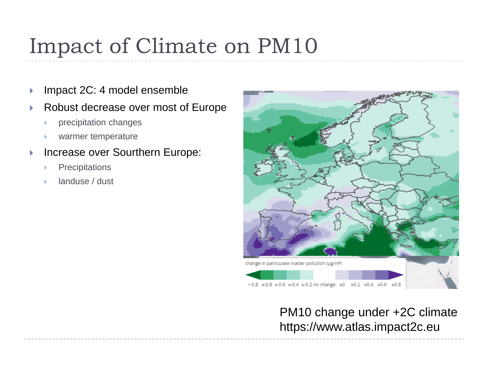## Impact of Climate on PM10

- ▶ Impact 2C: 4 model ensemble
- Robust decrease over most of Europe
	- precipitation changes
	- warmer temperature
- ▶ Increase over Sourthern Europe:
	- **Precipitations**
	- landuse / dust



### PM10 change under +2C climate https://www.atlas.impact2c.eu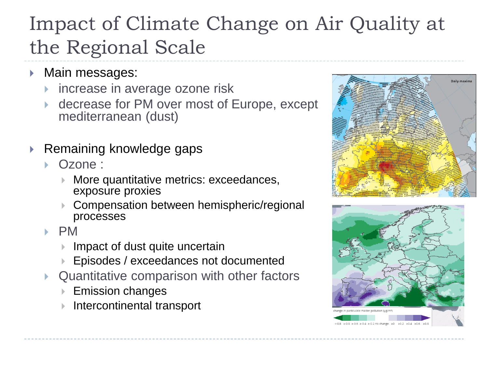### Impact of Climate Change on Air Quality at the Regional Scale

- ▶ Main messages:
	- increase in average ozone risk
	- decrease for PM over most of Europe, except mediterranean (dust)
- ▶ Remaining knowledge gaps
	- Ozone :
		- More quantitative metrics: exceedances, exposure proxies
		- Compensation between hemispheric/regional processes
	- $\blacktriangleright$  PM
		- Impact of dust quite uncertain
		- Episodes / exceedances not documented
	- Quantitative comparison with other factors
		- Emission changes
		- Intercontinental transport



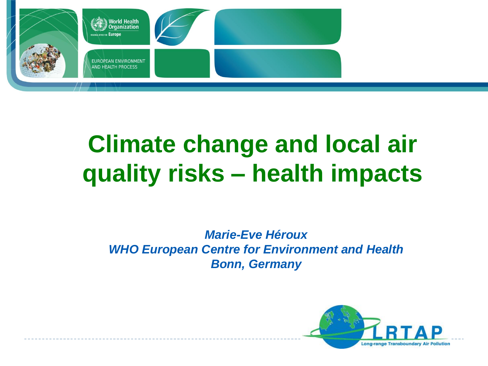

# **Climate change and local air quality risks – health impacts**

#### *Marie-Eve Héroux WHO European Centre for Environment and Health Bonn, Germany*

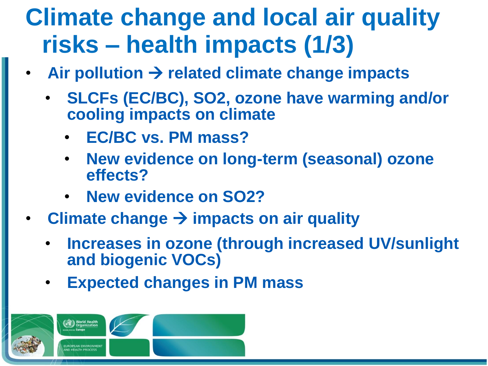# **Climate change and local air quality risks – health impacts (1/3)**

- Air pollution  $\rightarrow$  related climate change impacts
	- **SLCFs (EC/BC), SO2, ozone have warming and/or cooling impacts on climate**
		- **EC/BC vs. PM mass?**
		- **New evidence on long-term (seasonal) ozone effects?**
		- **New evidence on SO2?**
- **Climate change**  $\rightarrow$  **impacts on air quality** 
	- **Increases in ozone (through increased UV/sunlight and biogenic VOCs)**
	- **Expected changes in PM mass**

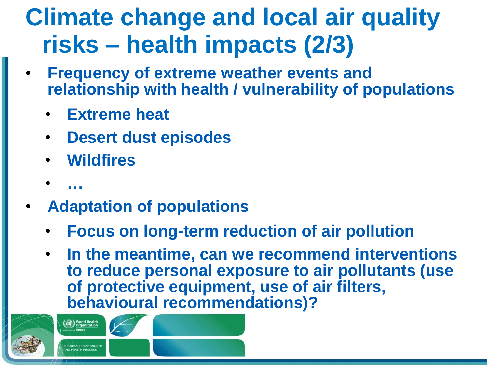# **Climate change and local air quality risks – health impacts (2/3)**

- **Frequency of extreme weather events and relationship with health / vulnerability of populations**
	- **Extreme heat**
	- **Desert dust episodes**
	- **Wildfires**
	- **…**
- **Adaptation of populations**
	- **Focus on long-term reduction of air pollution**
	- **In the meantime, can we recommend interventions to reduce personal exposure to air pollutants (use of protective equipment, use of air filters, behavioural recommendations)?**